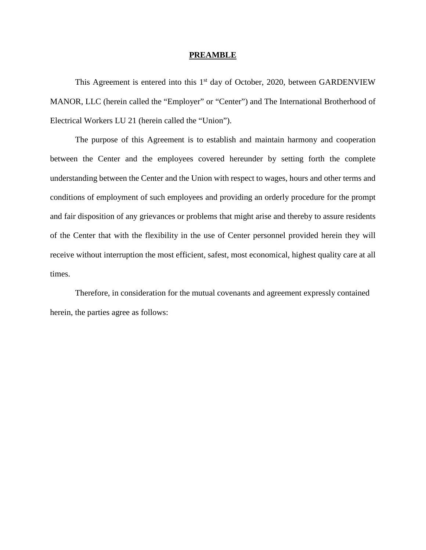#### **PREAMBLE**

This Agreement is entered into this  $1<sup>st</sup>$  day of October, 2020, between GARDENVIEW MANOR, LLC (herein called the "Employer" or "Center") and The International Brotherhood of Electrical Workers LU 21 (herein called the "Union").

The purpose of this Agreement is to establish and maintain harmony and cooperation between the Center and the employees covered hereunder by setting forth the complete understanding between the Center and the Union with respect to wages, hours and other terms and conditions of employment of such employees and providing an orderly procedure for the prompt and fair disposition of any grievances or problems that might arise and thereby to assure residents of the Center that with the flexibility in the use of Center personnel provided herein they will receive without interruption the most efficient, safest, most economical, highest quality care at all times.

Therefore, in consideration for the mutual covenants and agreement expressly contained herein, the parties agree as follows: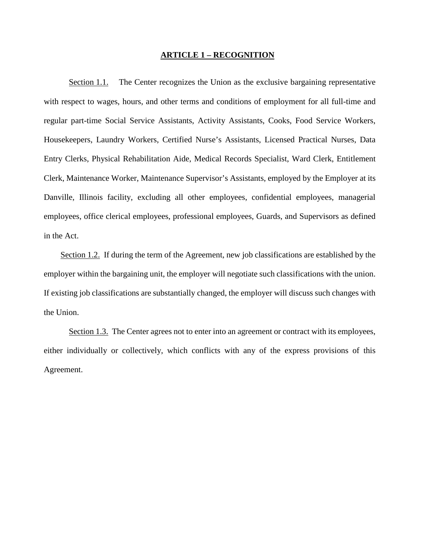# **ARTICLE 1 – RECOGNITION**

Section 1.1. The Center recognizes the Union as the exclusive bargaining representative with respect to wages, hours, and other terms and conditions of employment for all full-time and regular part-time Social Service Assistants, Activity Assistants, Cooks, Food Service Workers, Housekeepers, Laundry Workers, Certified Nurse's Assistants, Licensed Practical Nurses, Data Entry Clerks, Physical Rehabilitation Aide, Medical Records Specialist, Ward Clerk, Entitlement Clerk, Maintenance Worker, Maintenance Supervisor's Assistants, employed by the Employer at its Danville, Illinois facility, excluding all other employees, confidential employees, managerial employees, office clerical employees, professional employees, Guards, and Supervisors as defined in the Act.

 Section 1.2. If during the term of the Agreement, new job classifications are established by the employer within the bargaining unit, the employer will negotiate such classifications with the union. If existing job classifications are substantially changed, the employer will discuss such changes with the Union.

Section 1.3. The Center agrees not to enter into an agreement or contract with its employees, either individually or collectively, which conflicts with any of the express provisions of this Agreement.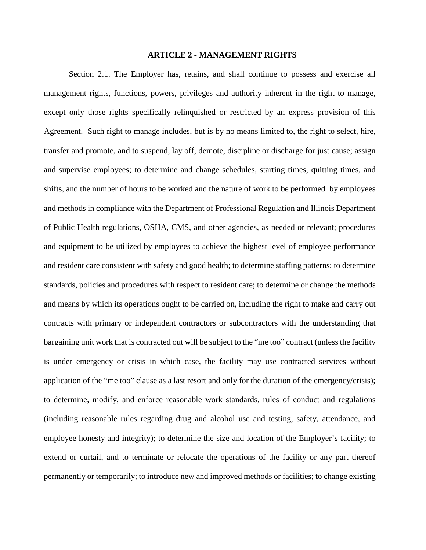## **ARTICLE 2 - MANAGEMENT RIGHTS**

Section 2.1. The Employer has, retains, and shall continue to possess and exercise all management rights, functions, powers, privileges and authority inherent in the right to manage, except only those rights specifically relinquished or restricted by an express provision of this Agreement. Such right to manage includes, but is by no means limited to, the right to select, hire, transfer and promote, and to suspend, lay off, demote, discipline or discharge for just cause; assign and supervise employees; to determine and change schedules, starting times, quitting times, and shifts, and the number of hours to be worked and the nature of work to be performed by employees and methods in compliance with the Department of Professional Regulation and Illinois Department of Public Health regulations, OSHA, CMS, and other agencies, as needed or relevant; procedures and equipment to be utilized by employees to achieve the highest level of employee performance and resident care consistent with safety and good health; to determine staffing patterns; to determine standards, policies and procedures with respect to resident care; to determine or change the methods and means by which its operations ought to be carried on, including the right to make and carry out contracts with primary or independent contractors or subcontractors with the understanding that bargaining unit work that is contracted out will be subject to the "me too" contract (unless the facility is under emergency or crisis in which case, the facility may use contracted services without application of the "me too" clause as a last resort and only for the duration of the emergency/crisis); to determine, modify, and enforce reasonable work standards, rules of conduct and regulations (including reasonable rules regarding drug and alcohol use and testing, safety, attendance, and employee honesty and integrity); to determine the size and location of the Employer's facility; to extend or curtail, and to terminate or relocate the operations of the facility or any part thereof permanently or temporarily; to introduce new and improved methods or facilities; to change existing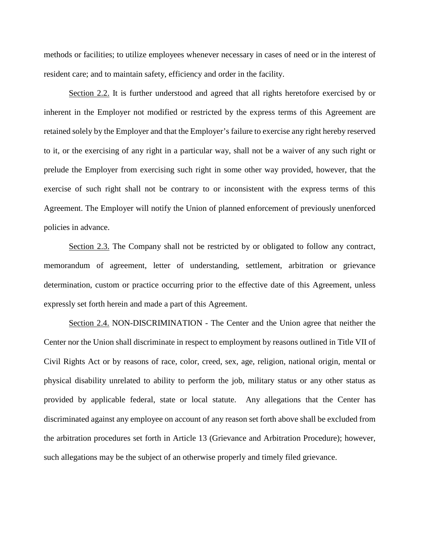methods or facilities; to utilize employees whenever necessary in cases of need or in the interest of resident care; and to maintain safety, efficiency and order in the facility.

Section 2.2. It is further understood and agreed that all rights heretofore exercised by or inherent in the Employer not modified or restricted by the express terms of this Agreement are retained solely by the Employer and that the Employer's failure to exercise any right hereby reserved to it, or the exercising of any right in a particular way, shall not be a waiver of any such right or prelude the Employer from exercising such right in some other way provided, however, that the exercise of such right shall not be contrary to or inconsistent with the express terms of this Agreement. The Employer will notify the Union of planned enforcement of previously unenforced policies in advance.

Section 2.3. The Company shall not be restricted by or obligated to follow any contract, memorandum of agreement, letter of understanding, settlement, arbitration or grievance determination, custom or practice occurring prior to the effective date of this Agreement, unless expressly set forth herein and made a part of this Agreement.

Section 2.4. NON-DISCRIMINATION - The Center and the Union agree that neither the Center nor the Union shall discriminate in respect to employment by reasons outlined in Title VII of Civil Rights Act or by reasons of race, color, creed, sex, age, religion, national origin, mental or physical disability unrelated to ability to perform the job, military status or any other status as provided by applicable federal, state or local statute. Any allegations that the Center has discriminated against any employee on account of any reason set forth above shall be excluded from the arbitration procedures set forth in Article 13 (Grievance and Arbitration Procedure); however, such allegations may be the subject of an otherwise properly and timely filed grievance.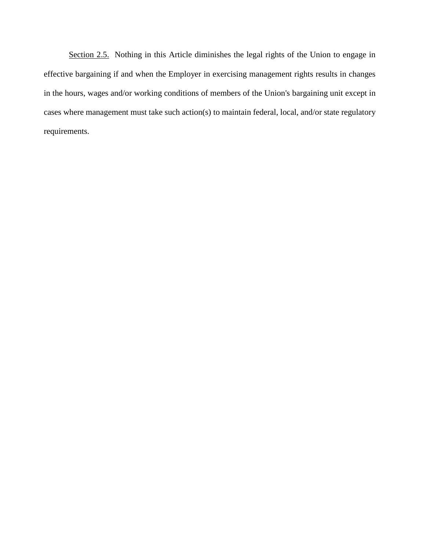Section 2.5. Nothing in this Article diminishes the legal rights of the Union to engage in effective bargaining if and when the Employer in exercising management rights results in changes in the hours, wages and/or working conditions of members of the Union's bargaining unit except in cases where management must take such action(s) to maintain federal, local, and/or state regulatory requirements.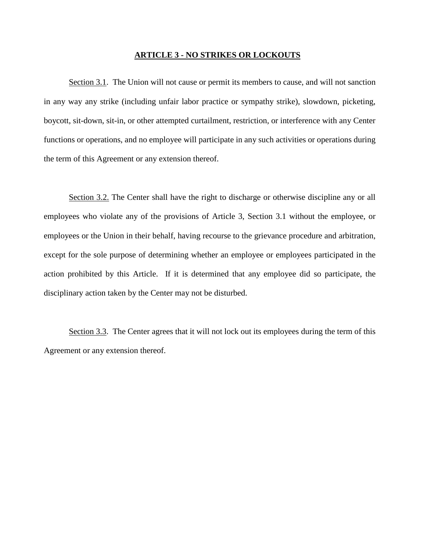## **ARTICLE 3 - NO STRIKES OR LOCKOUTS**

Section 3.1. The Union will not cause or permit its members to cause, and will not sanction in any way any strike (including unfair labor practice or sympathy strike), slowdown, picketing, boycott, sit-down, sit-in, or other attempted curtailment, restriction, or interference with any Center functions or operations, and no employee will participate in any such activities or operations during the term of this Agreement or any extension thereof.

Section 3.2. The Center shall have the right to discharge or otherwise discipline any or all employees who violate any of the provisions of Article 3, Section 3.1 without the employee, or employees or the Union in their behalf, having recourse to the grievance procedure and arbitration, except for the sole purpose of determining whether an employee or employees participated in the action prohibited by this Article. If it is determined that any employee did so participate, the disciplinary action taken by the Center may not be disturbed.

Section 3.3. The Center agrees that it will not lock out its employees during the term of this Agreement or any extension thereof.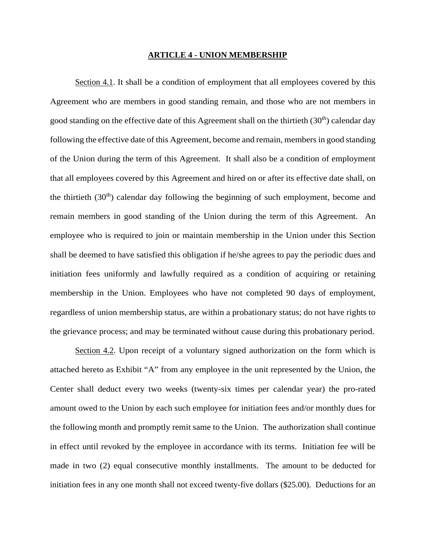#### **ARTICLE 4 - UNION MEMBERSHIP**

Section 4.1. It shall be a condition of employment that all employees covered by this Agreement who are members in good standing remain, and those who are not members in good standing on the effective date of this Agreement shall on the thirtieth  $(30<sup>th</sup>)$  calendar day following the effective date of this Agreement, become and remain, members in good standing of the Union during the term of this Agreement. It shall also be a condition of employment that all employees covered by this Agreement and hired on or after its effective date shall, on the thirtieth  $(30<sup>th</sup>)$  calendar day following the beginning of such employment, become and remain members in good standing of the Union during the term of this Agreement. An employee who is required to join or maintain membership in the Union under this Section shall be deemed to have satisfied this obligation if he/she agrees to pay the periodic dues and initiation fees uniformly and lawfully required as a condition of acquiring or retaining membership in the Union. Employees who have not completed 90 days of employment, regardless of union membership status, are within a probationary status; do not have rights to the grievance process; and may be terminated without cause during this probationary period.

Section 4.2. Upon receipt of a voluntary signed authorization on the form which is attached hereto as Exhibit "A" from any employee in the unit represented by the Union, the Center shall deduct every two weeks (twenty-six times per calendar year) the pro-rated amount owed to the Union by each such employee for initiation fees and/or monthly dues for the following month and promptly remit same to the Union. The authorization shall continue in effect until revoked by the employee in accordance with its terms. Initiation fee will be made in two (2) equal consecutive monthly installments. The amount to be deducted for initiation fees in any one month shall not exceed twenty-five dollars (\$25.00). Deductions for an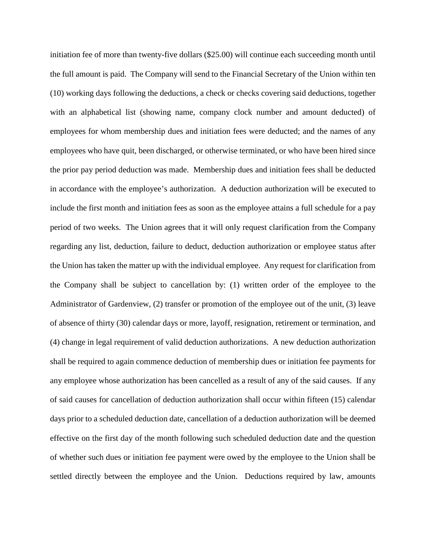initiation fee of more than twenty-five dollars (\$25.00) will continue each succeeding month until the full amount is paid. The Company will send to the Financial Secretary of the Union within ten (10) working days following the deductions, a check or checks covering said deductions, together with an alphabetical list (showing name, company clock number and amount deducted) of employees for whom membership dues and initiation fees were deducted; and the names of any employees who have quit, been discharged, or otherwise terminated, or who have been hired since the prior pay period deduction was made. Membership dues and initiation fees shall be deducted in accordance with the employee's authorization. A deduction authorization will be executed to include the first month and initiation fees as soon as the employee attains a full schedule for a pay period of two weeks. The Union agrees that it will only request clarification from the Company regarding any list, deduction, failure to deduct, deduction authorization or employee status after the Union has taken the matter up with the individual employee. Any request for clarification from the Company shall be subject to cancellation by: (1) written order of the employee to the Administrator of Gardenview, (2) transfer or promotion of the employee out of the unit, (3) leave of absence of thirty (30) calendar days or more, layoff, resignation, retirement or termination, and (4) change in legal requirement of valid deduction authorizations. A new deduction authorization shall be required to again commence deduction of membership dues or initiation fee payments for any employee whose authorization has been cancelled as a result of any of the said causes. If any of said causes for cancellation of deduction authorization shall occur within fifteen (15) calendar days prior to a scheduled deduction date, cancellation of a deduction authorization will be deemed effective on the first day of the month following such scheduled deduction date and the question of whether such dues or initiation fee payment were owed by the employee to the Union shall be settled directly between the employee and the Union. Deductions required by law, amounts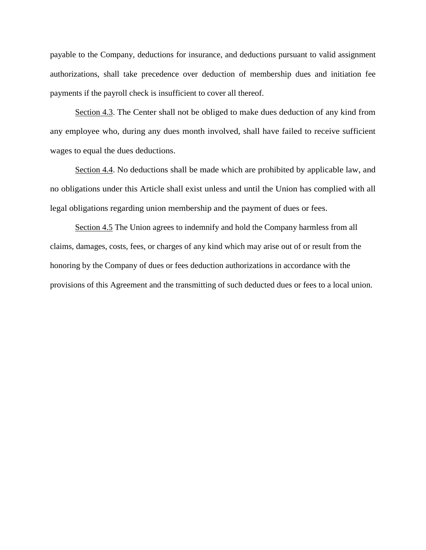payable to the Company, deductions for insurance, and deductions pursuant to valid assignment authorizations, shall take precedence over deduction of membership dues and initiation fee payments if the payroll check is insufficient to cover all thereof.

Section 4.3. The Center shall not be obliged to make dues deduction of any kind from any employee who, during any dues month involved, shall have failed to receive sufficient wages to equal the dues deductions.

Section 4.4. No deductions shall be made which are prohibited by applicable law, and no obligations under this Article shall exist unless and until the Union has complied with all legal obligations regarding union membership and the payment of dues or fees.

Section 4.5 The Union agrees to indemnify and hold the Company harmless from all claims, damages, costs, fees, or charges of any kind which may arise out of or result from the honoring by the Company of dues or fees deduction authorizations in accordance with the provisions of this Agreement and the transmitting of such deducted dues or fees to a local union.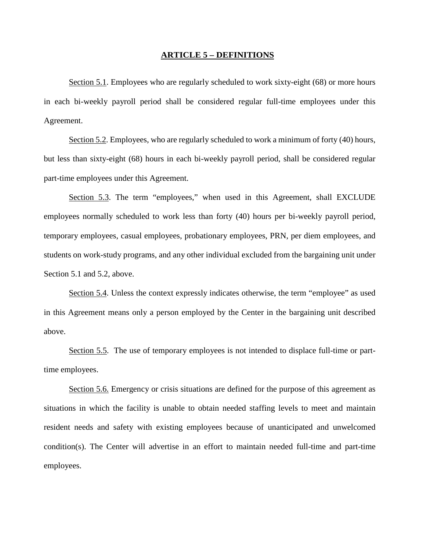#### **ARTICLE 5 – DEFINITIONS**

Section 5.1. Employees who are regularly scheduled to work sixty-eight (68) or more hours in each bi-weekly payroll period shall be considered regular full-time employees under this Agreement.

Section 5.2. Employees, who are regularly scheduled to work a minimum of forty (40) hours, but less than sixty-eight (68) hours in each bi-weekly payroll period, shall be considered regular part-time employees under this Agreement.

Section 5.3. The term "employees," when used in this Agreement, shall EXCLUDE employees normally scheduled to work less than forty (40) hours per bi-weekly payroll period, temporary employees, casual employees, probationary employees, PRN, per diem employees, and students on work-study programs, and any other individual excluded from the bargaining unit under Section 5.1 and 5.2, above.

Section 5.4. Unless the context expressly indicates otherwise, the term "employee" as used in this Agreement means only a person employed by the Center in the bargaining unit described above.

Section 5.5. The use of temporary employees is not intended to displace full-time or parttime employees.

Section 5.6. Emergency or crisis situations are defined for the purpose of this agreement as situations in which the facility is unable to obtain needed staffing levels to meet and maintain resident needs and safety with existing employees because of unanticipated and unwelcomed condition(s). The Center will advertise in an effort to maintain needed full-time and part-time employees.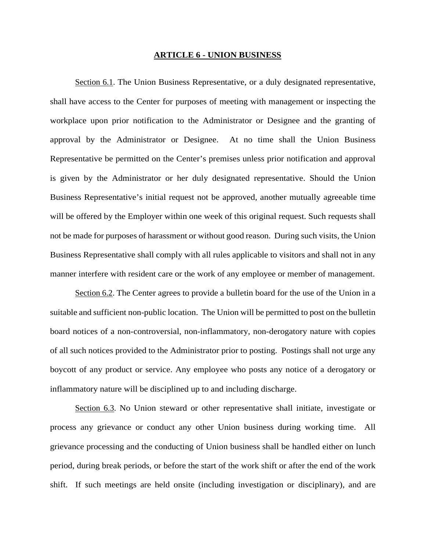#### **ARTICLE 6 - UNION BUSINESS**

Section 6.1. The Union Business Representative, or a duly designated representative, shall have access to the Center for purposes of meeting with management or inspecting the workplace upon prior notification to the Administrator or Designee and the granting of approval by the Administrator or Designee. At no time shall the Union Business Representative be permitted on the Center's premises unless prior notification and approval is given by the Administrator or her duly designated representative. Should the Union Business Representative's initial request not be approved, another mutually agreeable time will be offered by the Employer within one week of this original request. Such requests shall not be made for purposes of harassment or without good reason. During such visits, the Union Business Representative shall comply with all rules applicable to visitors and shall not in any manner interfere with resident care or the work of any employee or member of management.

Section 6.2. The Center agrees to provide a bulletin board for the use of the Union in a suitable and sufficient non-public location. The Union will be permitted to post on the bulletin board notices of a non-controversial, non-inflammatory, non-derogatory nature with copies of all such notices provided to the Administrator prior to posting. Postings shall not urge any boycott of any product or service. Any employee who posts any notice of a derogatory or inflammatory nature will be disciplined up to and including discharge.

Section 6.3. No Union steward or other representative shall initiate, investigate or process any grievance or conduct any other Union business during working time. All grievance processing and the conducting of Union business shall be handled either on lunch period, during break periods, or before the start of the work shift or after the end of the work shift. If such meetings are held onsite (including investigation or disciplinary), and are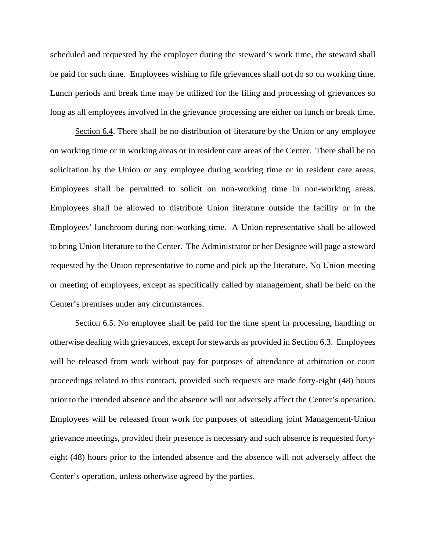scheduled and requested by the employer during the steward's work time, the steward shall be paid for such time. Employees wishing to file grievances shall not do so on working time. Lunch periods and break time may be utilized for the filing and processing of grievances so long as all employees involved in the grievance processing are either on lunch or break time.

Section 6.4. There shall be no distribution of literature by the Union or any employee on working time or in working areas or in resident care areas of the Center. There shall be no solicitation by the Union or any employee during working time or in resident care areas. Employees shall be permitted to solicit on non-working time in non-working areas. Employees shall be allowed to distribute Union literature outside the facility or in the Employees' lunchroom during non-working time. A Union representative shall be allowed to bring Union literature to the Center. The Administrator or her Designee will page a steward requested by the Union representative to come and pick up the literature. No Union meeting or meeting of employees, except as specifically called by management, shall be held on the Center's premises under any circumstances.

Section 6.5. No employee shall be paid for the time spent in processing, handling or otherwise dealing with grievances, except for stewards as provided in Section 6.3. Employees will be released from work without pay for purposes of attendance at arbitration or court proceedings related to this contract, provided such requests are made forty-eight (48) hours prior to the intended absence and the absence will not adversely affect the Center's operation. Employees will be released from work for purposes of attending joint Management-Union grievance meetings, provided their presence is necessary and such absence is requested fortyeight (48) hours prior to the intended absence and the absence will not adversely affect the Center's operation, unless otherwise agreed by the parties.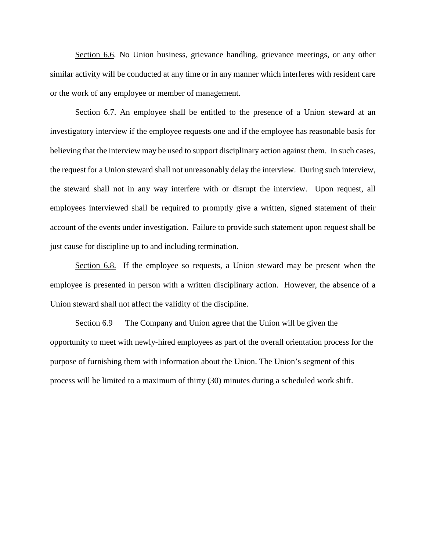Section 6.6. No Union business, grievance handling, grievance meetings, or any other similar activity will be conducted at any time or in any manner which interferes with resident care or the work of any employee or member of management.

Section 6.7. An employee shall be entitled to the presence of a Union steward at an investigatory interview if the employee requests one and if the employee has reasonable basis for believing that the interview may be used to support disciplinary action against them. In such cases, the request for a Union steward shall not unreasonably delay the interview. During such interview, the steward shall not in any way interfere with or disrupt the interview. Upon request, all employees interviewed shall be required to promptly give a written, signed statement of their account of the events under investigation. Failure to provide such statement upon request shall be just cause for discipline up to and including termination.

Section 6.8. If the employee so requests, a Union steward may be present when the employee is presented in person with a written disciplinary action. However, the absence of a Union steward shall not affect the validity of the discipline.

Section 6.9 The Company and Union agree that the Union will be given the opportunity to meet with newly-hired employees as part of the overall orientation process for the purpose of furnishing them with information about the Union. The Union's segment of this process will be limited to a maximum of thirty (30) minutes during a scheduled work shift.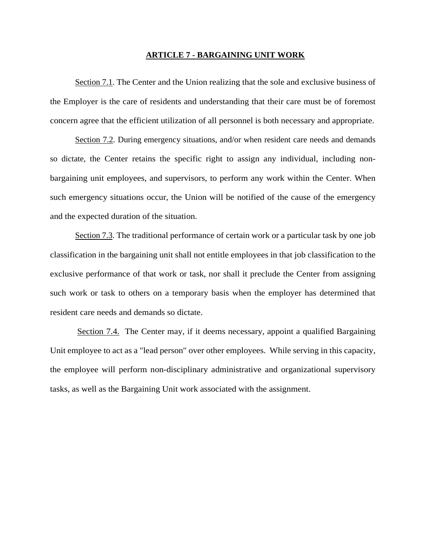#### **ARTICLE 7 - BARGAINING UNIT WORK**

Section 7.1. The Center and the Union realizing that the sole and exclusive business of the Employer is the care of residents and understanding that their care must be of foremost concern agree that the efficient utilization of all personnel is both necessary and appropriate.

Section 7.2. During emergency situations, and/or when resident care needs and demands so dictate, the Center retains the specific right to assign any individual, including nonbargaining unit employees, and supervisors, to perform any work within the Center. When such emergency situations occur, the Union will be notified of the cause of the emergency and the expected duration of the situation.

Section 7.3. The traditional performance of certain work or a particular task by one job classification in the bargaining unit shall not entitle employees in that job classification to the exclusive performance of that work or task, nor shall it preclude the Center from assigning such work or task to others on a temporary basis when the employer has determined that resident care needs and demands so dictate.

Section 7.4. The Center may, if it deems necessary, appoint a qualified Bargaining Unit employee to act as a "lead person" over other employees. While serving in this capacity, the employee will perform non-disciplinary administrative and organizational supervisory tasks, as well as the Bargaining Unit work associated with the assignment.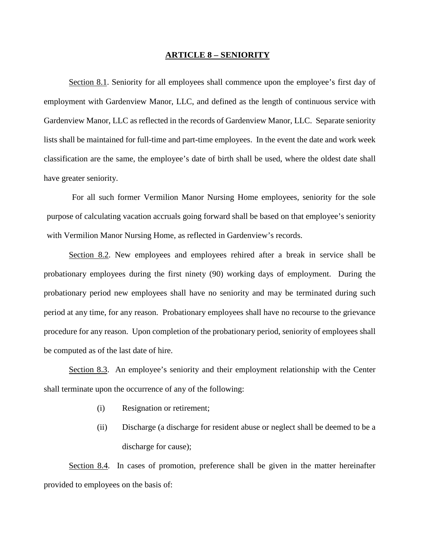#### **ARTICLE 8 – SENIORITY**

Section 8.1. Seniority for all employees shall commence upon the employee's first day of employment with Gardenview Manor, LLC, and defined as the length of continuous service with Gardenview Manor, LLC as reflected in the records of Gardenview Manor, LLC. Separate seniority lists shall be maintained for full-time and part-time employees. In the event the date and work week classification are the same, the employee's date of birth shall be used, where the oldest date shall have greater seniority.

For all such former Vermilion Manor Nursing Home employees, seniority for the sole purpose of calculating vacation accruals going forward shall be based on that employee's seniority with Vermilion Manor Nursing Home, as reflected in Gardenview's records.

Section 8.2. New employees and employees rehired after a break in service shall be probationary employees during the first ninety (90) working days of employment. During the probationary period new employees shall have no seniority and may be terminated during such period at any time, for any reason. Probationary employees shall have no recourse to the grievance procedure for any reason. Upon completion of the probationary period, seniority of employees shall be computed as of the last date of hire.

Section 8.3. An employee's seniority and their employment relationship with the Center shall terminate upon the occurrence of any of the following:

- (i) Resignation or retirement;
- (ii) Discharge (a discharge for resident abuse or neglect shall be deemed to be a discharge for cause);

Section 8.4. In cases of promotion, preference shall be given in the matter hereinafter provided to employees on the basis of: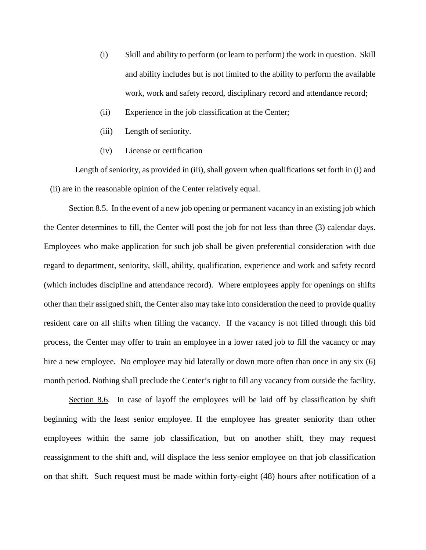- (i) Skill and ability to perform (or learn to perform) the work in question. Skill and ability includes but is not limited to the ability to perform the available work, work and safety record, disciplinary record and attendance record;
- (ii) Experience in the job classification at the Center;
- (iii) Length of seniority.
- (iv) License or certification

Length of seniority, as provided in (iii), shall govern when qualifications set forth in (i) and (ii) are in the reasonable opinion of the Center relatively equal.

Section 8.5. In the event of a new job opening or permanent vacancy in an existing job which the Center determines to fill, the Center will post the job for not less than three (3) calendar days. Employees who make application for such job shall be given preferential consideration with due regard to department, seniority, skill, ability, qualification, experience and work and safety record (which includes discipline and attendance record). Where employees apply for openings on shifts other than their assigned shift, the Center also may take into consideration the need to provide quality resident care on all shifts when filling the vacancy. If the vacancy is not filled through this bid process, the Center may offer to train an employee in a lower rated job to fill the vacancy or may hire a new employee. No employee may bid laterally or down more often than once in any six (6) month period. Nothing shall preclude the Center's right to fill any vacancy from outside the facility.

Section 8.6. In case of layoff the employees will be laid off by classification by shift beginning with the least senior employee. If the employee has greater seniority than other employees within the same job classification, but on another shift, they may request reassignment to the shift and, will displace the less senior employee on that job classification on that shift. Such request must be made within forty-eight (48) hours after notification of a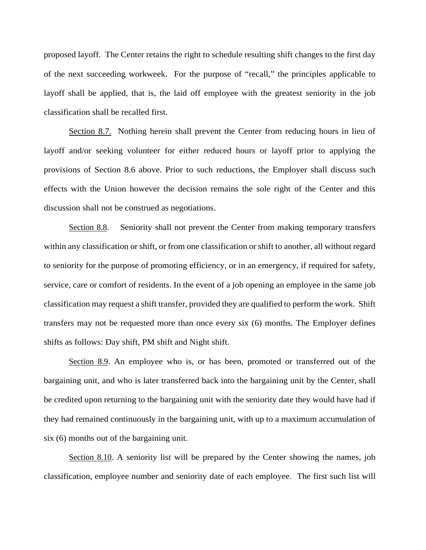proposed layoff. The Center retains the right to schedule resulting shift changes to the first day of the next succeeding workweek. For the purpose of "recall," the principles applicable to layoff shall be applied, that is, the laid off employee with the greatest seniority in the job classification shall be recalled first.

Section 8.7. Nothing herein shall prevent the Center from reducing hours in lieu of layoff and/or seeking volunteer for either reduced hours or layoff prior to applying the provisions of Section 8.6 above. Prior to such reductions, the Employer shall discuss such effects with the Union however the decision remains the sole right of the Center and this discussion shall not be construed as negotiations.

Section 8.8. Seniority shall not prevent the Center from making temporary transfers within any classification or shift, or from one classification or shift to another, all without regard to seniority for the purpose of promoting efficiency, or in an emergency, if required for safety, service, care or comfort of residents. In the event of a job opening an employee in the same job classification may request a shift transfer, provided they are qualified to perform the work. Shift transfers may not be requested more than once every six (6) months. The Employer defines shifts as follows: Day shift, PM shift and Night shift.

Section 8.9. An employee who is, or has been, promoted or transferred out of the bargaining unit, and who is later transferred back into the bargaining unit by the Center, shall be credited upon returning to the bargaining unit with the seniority date they would have had if they had remained continuously in the bargaining unit, with up to a maximum accumulation of six (6) months out of the bargaining unit.

Section 8.10. A seniority list will be prepared by the Center showing the names, job classification, employee number and seniority date of each employee. The first such list will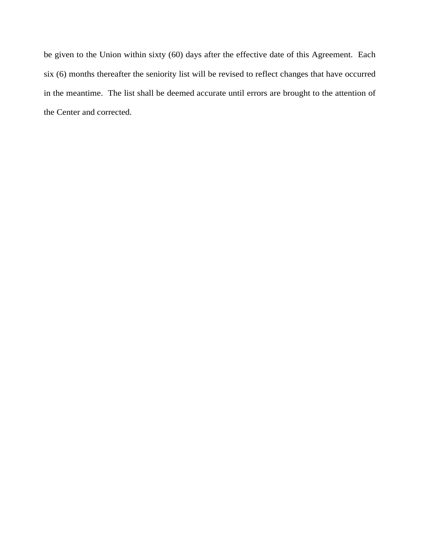be given to the Union within sixty (60) days after the effective date of this Agreement. Each six (6) months thereafter the seniority list will be revised to reflect changes that have occurred in the meantime. The list shall be deemed accurate until errors are brought to the attention of the Center and corrected.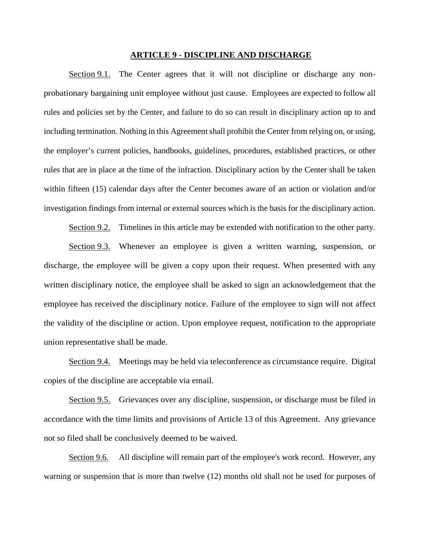## **ARTICLE 9 - DISCIPLINE AND DISCHARGE**

Section 9.1. The Center agrees that it will not discipline or discharge any nonprobationary bargaining unit employee without just cause. Employees are expected to follow all rules and policies set by the Center, and failure to do so can result in disciplinary action up to and including termination. Nothing in this Agreement shall prohibit the Center from relying on, or using, the employer's current policies, handbooks, guidelines, procedures, established practices, or other rules that are in place at the time of the infraction. Disciplinary action by the Center shall be taken within fifteen (15) calendar days after the Center becomes aware of an action or violation and/or investigation findings from internal or external sources which is the basis for the disciplinary action.

Section 9.2. Timelines in this article may be extended with notification to the other party.

Section 9.3. Whenever an employee is given a written warning, suspension, or discharge, the employee will be given a copy upon their request. When presented with any written disciplinary notice, the employee shall be asked to sign an acknowledgement that the employee has received the disciplinary notice. Failure of the employee to sign will not affect the validity of the discipline or action. Upon employee request, notification to the appropriate union representative shall be made.

Section 9.4. Meetings may be held via teleconference as circumstance require. Digital copies of the discipline are acceptable via email.

Section 9.5. Grievances over any discipline, suspension, or discharge must be filed in accordance with the time limits and provisions of Article 13 of this Agreement. Any grievance not so filed shall be conclusively deemed to be waived.

Section 9.6. All discipline will remain part of the employee's work record. However, any warning or suspension that is more than twelve (12) months old shall not be used for purposes of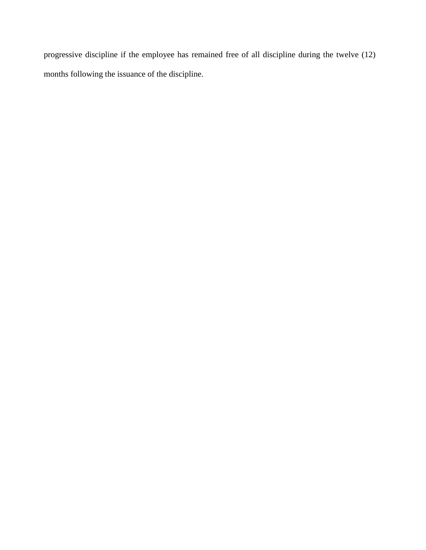progressive discipline if the employee has remained free of all discipline during the twelve (12) months following the issuance of the discipline.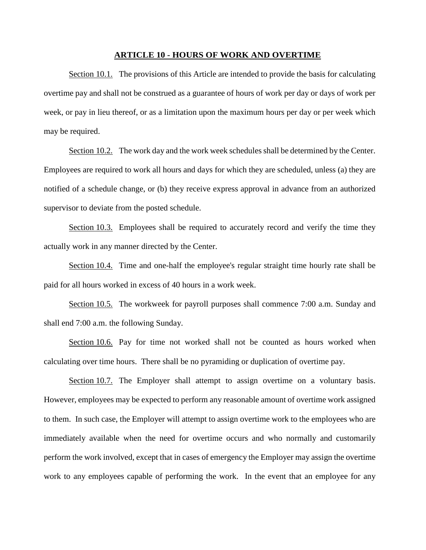## **ARTICLE 10 - HOURS OF WORK AND OVERTIME**

Section 10.1. The provisions of this Article are intended to provide the basis for calculating overtime pay and shall not be construed as a guarantee of hours of work per day or days of work per week, or pay in lieu thereof, or as a limitation upon the maximum hours per day or per week which may be required.

Section 10.2. The work day and the work week schedules shall be determined by the Center. Employees are required to work all hours and days for which they are scheduled, unless (a) they are notified of a schedule change, or (b) they receive express approval in advance from an authorized supervisor to deviate from the posted schedule.

Section 10.3. Employees shall be required to accurately record and verify the time they actually work in any manner directed by the Center.

Section 10.4. Time and one-half the employee's regular straight time hourly rate shall be paid for all hours worked in excess of 40 hours in a work week.

Section 10.5. The workweek for payroll purposes shall commence 7:00 a.m. Sunday and shall end 7:00 a.m. the following Sunday.

Section 10.6. Pay for time not worked shall not be counted as hours worked when calculating over time hours. There shall be no pyramiding or duplication of overtime pay.

Section 10.7. The Employer shall attempt to assign overtime on a voluntary basis. However, employees may be expected to perform any reasonable amount of overtime work assigned to them. In such case, the Employer will attempt to assign overtime work to the employees who are immediately available when the need for overtime occurs and who normally and customarily perform the work involved, except that in cases of emergency the Employer may assign the overtime work to any employees capable of performing the work. In the event that an employee for any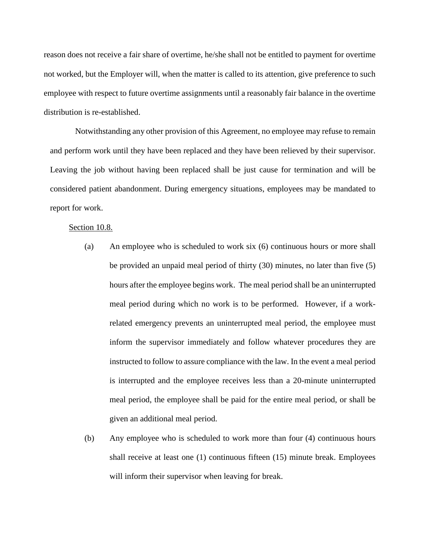reason does not receive a fair share of overtime, he/she shall not be entitled to payment for overtime not worked, but the Employer will, when the matter is called to its attention, give preference to such employee with respect to future overtime assignments until a reasonably fair balance in the overtime distribution is re-established.

Notwithstanding any other provision of this Agreement, no employee may refuse to remain and perform work until they have been replaced and they have been relieved by their supervisor. Leaving the job without having been replaced shall be just cause for termination and will be considered patient abandonment. During emergency situations, employees may be mandated to report for work.

## Section 10.8.

- (a) An employee who is scheduled to work six (6) continuous hours or more shall be provided an unpaid meal period of thirty (30) minutes, no later than five (5) hours after the employee begins work. The meal period shall be an uninterrupted meal period during which no work is to be performed. However, if a workrelated emergency prevents an uninterrupted meal period, the employee must inform the supervisor immediately and follow whatever procedures they are instructed to follow to assure compliance with the law. In the event a meal period is interrupted and the employee receives less than a 20-minute uninterrupted meal period, the employee shall be paid for the entire meal period, or shall be given an additional meal period.
- (b) Any employee who is scheduled to work more than four (4) continuous hours shall receive at least one (1) continuous fifteen (15) minute break. Employees will inform their supervisor when leaving for break.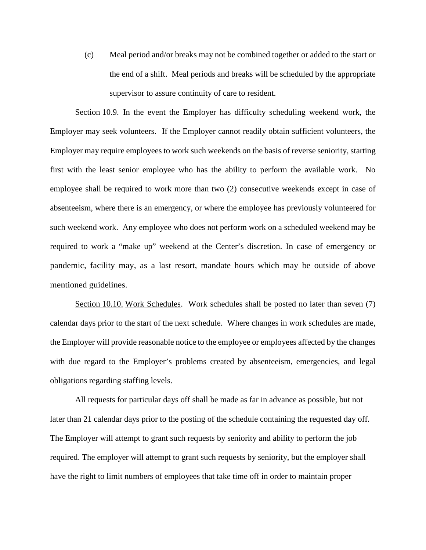(c) Meal period and/or breaks may not be combined together or added to the start or the end of a shift. Meal periods and breaks will be scheduled by the appropriate supervisor to assure continuity of care to resident.

Section 10.9. In the event the Employer has difficulty scheduling weekend work, the Employer may seek volunteers. If the Employer cannot readily obtain sufficient volunteers, the Employer may require employees to work such weekends on the basis of reverse seniority, starting first with the least senior employee who has the ability to perform the available work. No employee shall be required to work more than two (2) consecutive weekends except in case of absenteeism, where there is an emergency, or where the employee has previously volunteered for such weekend work. Any employee who does not perform work on a scheduled weekend may be required to work a "make up" weekend at the Center's discretion. In case of emergency or pandemic, facility may, as a last resort, mandate hours which may be outside of above mentioned guidelines.

Section 10.10. Work Schedules. Work schedules shall be posted no later than seven (7) calendar days prior to the start of the next schedule. Where changes in work schedules are made, the Employer will provide reasonable notice to the employee or employees affected by the changes with due regard to the Employer's problems created by absenteeism, emergencies, and legal obligations regarding staffing levels.

All requests for particular days off shall be made as far in advance as possible, but not later than 21 calendar days prior to the posting of the schedule containing the requested day off. The Employer will attempt to grant such requests by seniority and ability to perform the job required. The employer will attempt to grant such requests by seniority, but the employer shall have the right to limit numbers of employees that take time off in order to maintain proper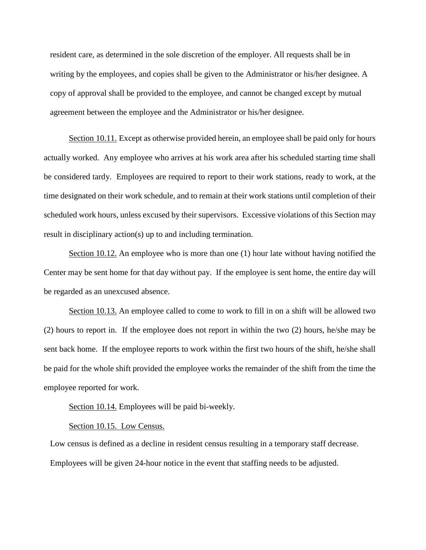resident care, as determined in the sole discretion of the employer. All requests shall be in writing by the employees, and copies shall be given to the Administrator or his/her designee. A copy of approval shall be provided to the employee, and cannot be changed except by mutual agreement between the employee and the Administrator or his/her designee.

Section 10.11. Except as otherwise provided herein, an employee shall be paid only for hours actually worked. Any employee who arrives at his work area after his scheduled starting time shall be considered tardy. Employees are required to report to their work stations, ready to work, at the time designated on their work schedule, and to remain at their work stations until completion of their scheduled work hours, unless excused by their supervisors. Excessive violations of this Section may result in disciplinary action(s) up to and including termination.

Section 10.12. An employee who is more than one (1) hour late without having notified the Center may be sent home for that day without pay. If the employee is sent home, the entire day will be regarded as an unexcused absence.

Section 10.13. An employee called to come to work to fill in on a shift will be allowed two (2) hours to report in. If the employee does not report in within the two (2) hours, he/she may be sent back home. If the employee reports to work within the first two hours of the shift, he/she shall be paid for the whole shift provided the employee works the remainder of the shift from the time the employee reported for work.

Section 10.14. Employees will be paid bi-weekly.

Section 10.15. Low Census.

Low census is defined as a decline in resident census resulting in a temporary staff decrease. Employees will be given 24-hour notice in the event that staffing needs to be adjusted.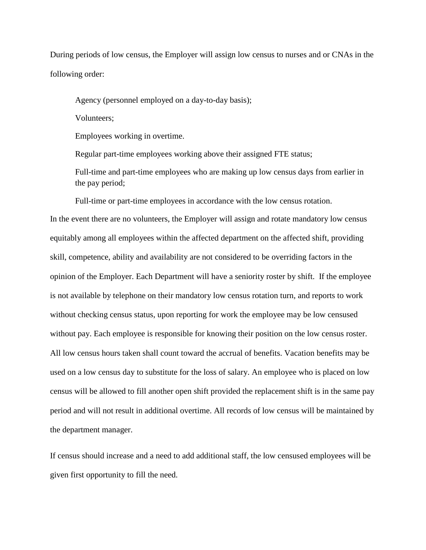During periods of low census, the Employer will assign low census to nurses and or CNAs in the following order:

Agency (personnel employed on a day-to-day basis);

Volunteers;

Employees working in overtime.

Regular part-time employees working above their assigned FTE status;

Full-time and part-time employees who are making up low census days from earlier in the pay period;

Full-time or part-time employees in accordance with the low census rotation.

In the event there are no volunteers, the Employer will assign and rotate mandatory low census equitably among all employees within the affected department on the affected shift, providing skill, competence, ability and availability are not considered to be overriding factors in the opinion of the Employer. Each Department will have a seniority roster by shift. If the employee is not available by telephone on their mandatory low census rotation turn, and reports to work without checking census status, upon reporting for work the employee may be low censused without pay. Each employee is responsible for knowing their position on the low census roster. All low census hours taken shall count toward the accrual of benefits. Vacation benefits may be used on a low census day to substitute for the loss of salary. An employee who is placed on low census will be allowed to fill another open shift provided the replacement shift is in the same pay period and will not result in additional overtime. All records of low census will be maintained by the department manager.

If census should increase and a need to add additional staff, the low censused employees will be given first opportunity to fill the need.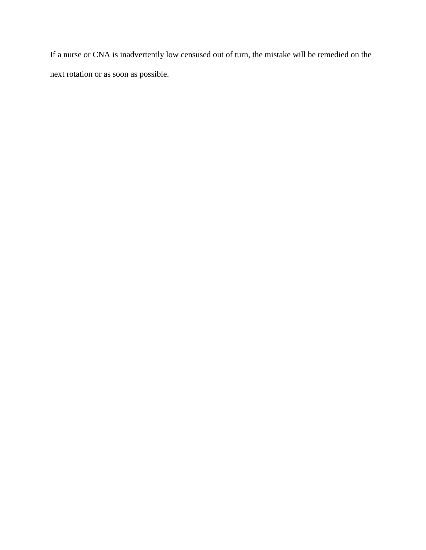If a nurse or CNA is inadvertently low censused out of turn, the mistake will be remedied on the next rotation or as soon as possible.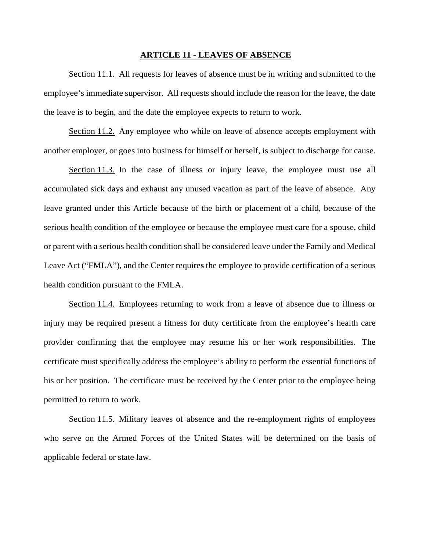#### **ARTICLE 11 - LEAVES OF ABSENCE**

Section 11.1. All requests for leaves of absence must be in writing and submitted to the employee's immediate supervisor. All requests should include the reason for the leave, the date the leave is to begin, and the date the employee expects to return to work.

Section 11.2. Any employee who while on leave of absence accepts employment with another employer, or goes into business for himself or herself, is subject to discharge for cause.

Section 11.3. In the case of illness or injury leave, the employee must use all accumulated sick days and exhaust any unused vacation as part of the leave of absence. Any leave granted under this Article because of the birth or placement of a child, because of the serious health condition of the employee or because the employee must care for a spouse, child or parent with a serious health condition shall be considered leave under the Family and Medical Leave Act ("FMLA"), and the Center require**s** the employee to provide certification of a serious health condition pursuant to the FMLA.

Section 11.4. Employees returning to work from a leave of absence due to illness or injury may be required present a fitness for duty certificate from the employee's health care provider confirming that the employee may resume his or her work responsibilities. The certificate must specifically address the employee's ability to perform the essential functions of his or her position. The certificate must be received by the Center prior to the employee being permitted to return to work.

Section 11.5. Military leaves of absence and the re-employment rights of employees who serve on the Armed Forces of the United States will be determined on the basis of applicable federal or state law.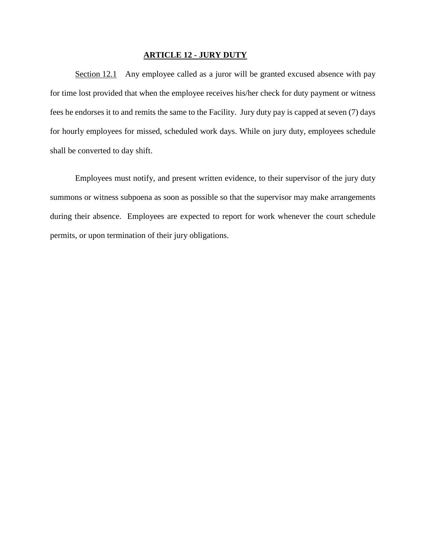## **ARTICLE 12 - JURY DUTY**

Section 12.1 Any employee called as a juror will be granted excused absence with pay for time lost provided that when the employee receives his/her check for duty payment or witness fees he endorses it to and remits the same to the Facility. Jury duty pay is capped at seven (7) days for hourly employees for missed, scheduled work days. While on jury duty, employees schedule shall be converted to day shift.

Employees must notify, and present written evidence, to their supervisor of the jury duty summons or witness subpoena as soon as possible so that the supervisor may make arrangements during their absence. Employees are expected to report for work whenever the court schedule permits, or upon termination of their jury obligations.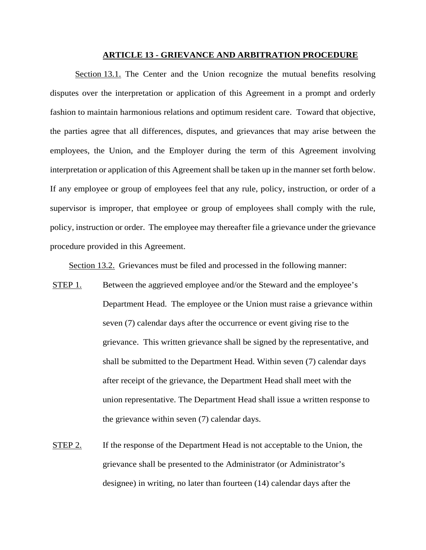## **ARTICLE 13 - GRIEVANCE AND ARBITRATION PROCEDURE**

Section 13.1. The Center and the Union recognize the mutual benefits resolving disputes over the interpretation or application of this Agreement in a prompt and orderly fashion to maintain harmonious relations and optimum resident care. Toward that objective, the parties agree that all differences, disputes, and grievances that may arise between the employees, the Union, and the Employer during the term of this Agreement involving interpretation or application of this Agreement shall be taken up in the manner set forth below. If any employee or group of employees feel that any rule, policy, instruction, or order of a supervisor is improper, that employee or group of employees shall comply with the rule, policy, instruction or order. The employee may thereafter file a grievance under the grievance procedure provided in this Agreement.

Section 13.2. Grievances must be filed and processed in the following manner:

- STEP 1. Between the aggrieved employee and/or the Steward and the employee's Department Head. The employee or the Union must raise a grievance within seven (7) calendar days after the occurrence or event giving rise to the grievance. This written grievance shall be signed by the representative, and shall be submitted to the Department Head. Within seven (7) calendar days after receipt of the grievance, the Department Head shall meet with the union representative. The Department Head shall issue a written response to the grievance within seven (7) calendar days.
- STEP 2. If the response of the Department Head is not acceptable to the Union, the grievance shall be presented to the Administrator (or Administrator's designee) in writing, no later than fourteen (14) calendar days after the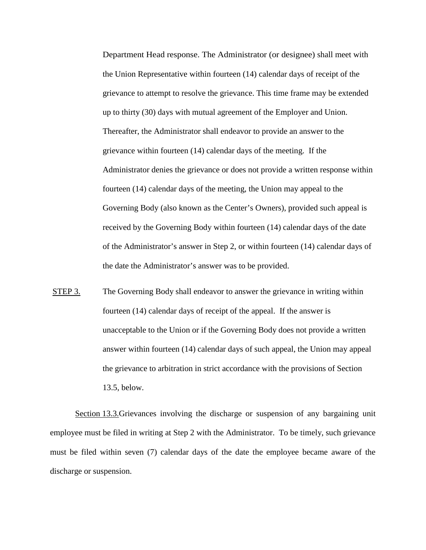Department Head response. The Administrator (or designee) shall meet with the Union Representative within fourteen (14) calendar days of receipt of the grievance to attempt to resolve the grievance. This time frame may be extended up to thirty (30) days with mutual agreement of the Employer and Union. Thereafter, the Administrator shall endeavor to provide an answer to the grievance within fourteen (14) calendar days of the meeting. If the Administrator denies the grievance or does not provide a written response within fourteen (14) calendar days of the meeting, the Union may appeal to the Governing Body (also known as the Center's Owners), provided such appeal is received by the Governing Body within fourteen (14) calendar days of the date of the Administrator's answer in Step 2, or within fourteen (14) calendar days of the date the Administrator's answer was to be provided.

STEP 3. The Governing Body shall endeavor to answer the grievance in writing within fourteen (14) calendar days of receipt of the appeal. If the answer is unacceptable to the Union or if the Governing Body does not provide a written answer within fourteen (14) calendar days of such appeal, the Union may appeal the grievance to arbitration in strict accordance with the provisions of Section 13.5, below.

Section 13.3.Grievances involving the discharge or suspension of any bargaining unit employee must be filed in writing at Step 2 with the Administrator. To be timely, such grievance must be filed within seven (7) calendar days of the date the employee became aware of the discharge or suspension.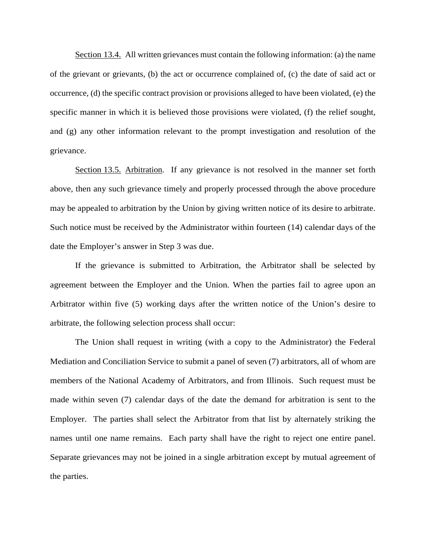Section 13.4. All written grievances must contain the following information: (a) the name of the grievant or grievants, (b) the act or occurrence complained of, (c) the date of said act or occurrence, (d) the specific contract provision or provisions alleged to have been violated, (e) the specific manner in which it is believed those provisions were violated, (f) the relief sought, and (g) any other information relevant to the prompt investigation and resolution of the grievance.

Section 13.5. Arbitration. If any grievance is not resolved in the manner set forth above, then any such grievance timely and properly processed through the above procedure may be appealed to arbitration by the Union by giving written notice of its desire to arbitrate. Such notice must be received by the Administrator within fourteen (14) calendar days of the date the Employer's answer in Step 3 was due.

If the grievance is submitted to Arbitration, the Arbitrator shall be selected by agreement between the Employer and the Union. When the parties fail to agree upon an Arbitrator within five (5) working days after the written notice of the Union's desire to arbitrate, the following selection process shall occur:

The Union shall request in writing (with a copy to the Administrator) the Federal Mediation and Conciliation Service to submit a panel of seven (7) arbitrators, all of whom are members of the National Academy of Arbitrators, and from Illinois. Such request must be made within seven (7) calendar days of the date the demand for arbitration is sent to the Employer. The parties shall select the Arbitrator from that list by alternately striking the names until one name remains. Each party shall have the right to reject one entire panel. Separate grievances may not be joined in a single arbitration except by mutual agreement of the parties.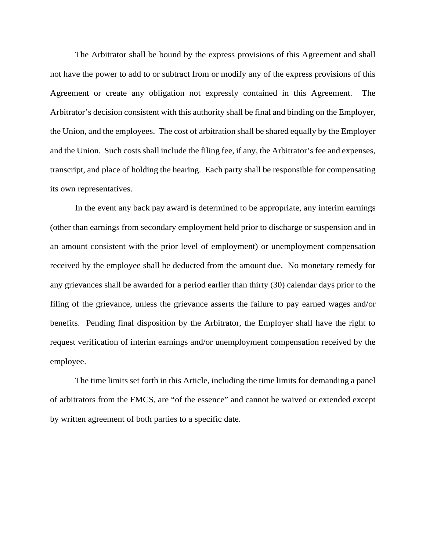The Arbitrator shall be bound by the express provisions of this Agreement and shall not have the power to add to or subtract from or modify any of the express provisions of this Agreement or create any obligation not expressly contained in this Agreement. The Arbitrator's decision consistent with this authority shall be final and binding on the Employer, the Union, and the employees. The cost of arbitration shall be shared equally by the Employer and the Union. Such costs shall include the filing fee, if any, the Arbitrator's fee and expenses, transcript, and place of holding the hearing. Each party shall be responsible for compensating its own representatives.

In the event any back pay award is determined to be appropriate, any interim earnings (other than earnings from secondary employment held prior to discharge or suspension and in an amount consistent with the prior level of employment) or unemployment compensation received by the employee shall be deducted from the amount due. No monetary remedy for any grievances shall be awarded for a period earlier than thirty (30) calendar days prior to the filing of the grievance, unless the grievance asserts the failure to pay earned wages and/or benefits. Pending final disposition by the Arbitrator, the Employer shall have the right to request verification of interim earnings and/or unemployment compensation received by the employee.

The time limits set forth in this Article, including the time limits for demanding a panel of arbitrators from the FMCS, are "of the essence" and cannot be waived or extended except by written agreement of both parties to a specific date.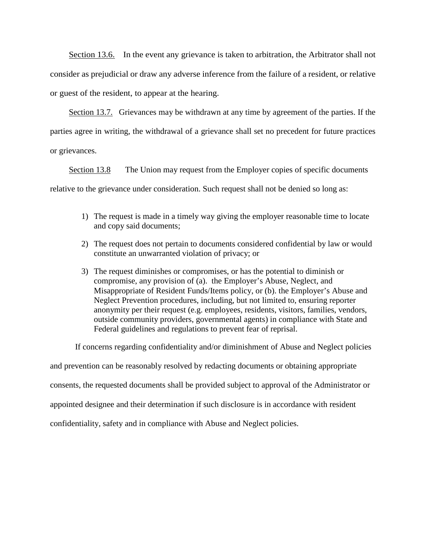Section 13.6. In the event any grievance is taken to arbitration, the Arbitrator shall not consider as prejudicial or draw any adverse inference from the failure of a resident, or relative or guest of the resident, to appear at the hearing.

Section 13.7. Grievances may be withdrawn at any time by agreement of the parties. If the parties agree in writing, the withdrawal of a grievance shall set no precedent for future practices or grievances.

Section 13.8 The Union may request from the Employer copies of specific documents relative to the grievance under consideration. Such request shall not be denied so long as:

- 1) The request is made in a timely way giving the employer reasonable time to locate and copy said documents;
- 2) The request does not pertain to documents considered confidential by law or would constitute an unwarranted violation of privacy; or
- 3) The request diminishes or compromises, or has the potential to diminish or compromise, any provision of (a). the Employer's Abuse, Neglect, and Misappropriate of Resident Funds/Items policy, or (b). the Employer's Abuse and Neglect Prevention procedures, including, but not limited to, ensuring reporter anonymity per their request (e.g. employees, residents, visitors, families, vendors, outside community providers, governmental agents) in compliance with State and Federal guidelines and regulations to prevent fear of reprisal.

If concerns regarding confidentiality and/or diminishment of Abuse and Neglect policies

and prevention can be reasonably resolved by redacting documents or obtaining appropriate consents, the requested documents shall be provided subject to approval of the Administrator or appointed designee and their determination if such disclosure is in accordance with resident confidentiality, safety and in compliance with Abuse and Neglect policies.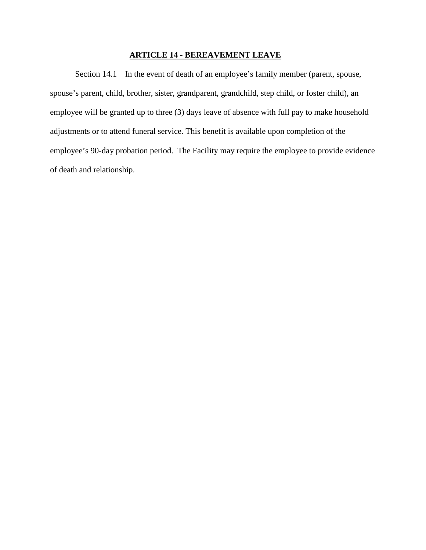# **ARTICLE 14 - BEREAVEMENT LEAVE**

Section 14.1 In the event of death of an employee's family member (parent, spouse, spouse's parent, child, brother, sister, grandparent, grandchild, step child, or foster child), an employee will be granted up to three (3) days leave of absence with full pay to make household adjustments or to attend funeral service. This benefit is available upon completion of the employee's 90-day probation period. The Facility may require the employee to provide evidence of death and relationship.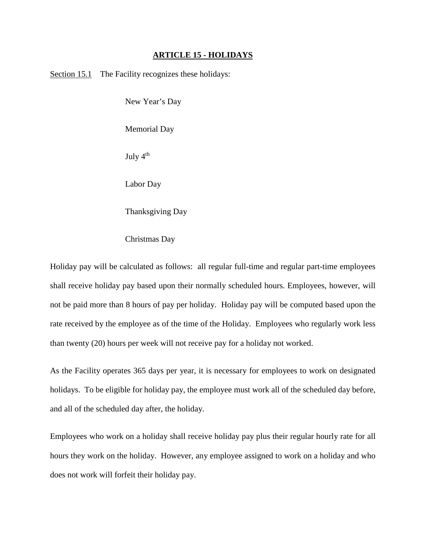## **ARTICLE 15 - HOLIDAYS**

Section 15.1 The Facility recognizes these holidays:

New Year's Day

Memorial Day

July  $4<sup>th</sup>$ 

Labor Day

Thanksgiving Day

Christmas Day

Holiday pay will be calculated as follows: all regular full-time and regular part-time employees shall receive holiday pay based upon their normally scheduled hours. Employees, however, will not be paid more than 8 hours of pay per holiday. Holiday pay will be computed based upon the rate received by the employee as of the time of the Holiday. Employees who regularly work less than twenty (20) hours per week will not receive pay for a holiday not worked.

As the Facility operates 365 days per year, it is necessary for employees to work on designated holidays. To be eligible for holiday pay, the employee must work all of the scheduled day before, and all of the scheduled day after, the holiday.

Employees who work on a holiday shall receive holiday pay plus their regular hourly rate for all hours they work on the holiday. However, any employee assigned to work on a holiday and who does not work will forfeit their holiday pay.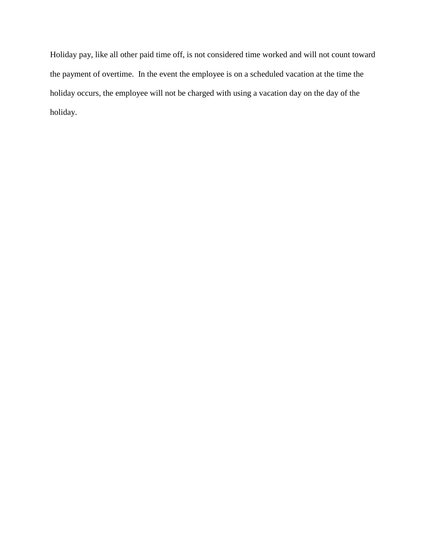Holiday pay, like all other paid time off, is not considered time worked and will not count toward the payment of overtime. In the event the employee is on a scheduled vacation at the time the holiday occurs, the employee will not be charged with using a vacation day on the day of the holiday.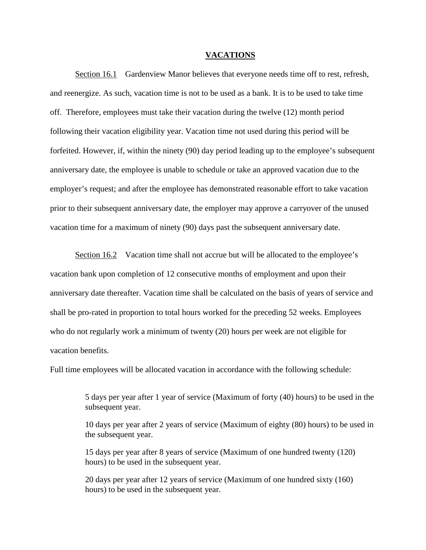#### **VACATIONS**

Section 16.1 Gardenview Manor believes that everyone needs time off to rest, refresh, and reenergize. As such, vacation time is not to be used as a bank. It is to be used to take time off. Therefore, employees must take their vacation during the twelve (12) month period following their vacation eligibility year. Vacation time not used during this period will be forfeited. However, if, within the ninety (90) day period leading up to the employee's subsequent anniversary date, the employee is unable to schedule or take an approved vacation due to the employer's request; and after the employee has demonstrated reasonable effort to take vacation prior to their subsequent anniversary date, the employer may approve a carryover of the unused vacation time for a maximum of ninety (90) days past the subsequent anniversary date.

Section 16.2 Vacation time shall not accrue but will be allocated to the employee's vacation bank upon completion of 12 consecutive months of employment and upon their anniversary date thereafter. Vacation time shall be calculated on the basis of years of service and shall be pro-rated in proportion to total hours worked for the preceding 52 weeks. Employees who do not regularly work a minimum of twenty (20) hours per week are not eligible for vacation benefits.

Full time employees will be allocated vacation in accordance with the following schedule:

5 days per year after 1 year of service (Maximum of forty (40) hours) to be used in the subsequent year.

10 days per year after 2 years of service (Maximum of eighty (80) hours) to be used in the subsequent year.

15 days per year after 8 years of service (Maximum of one hundred twenty (120) hours) to be used in the subsequent year.

20 days per year after 12 years of service (Maximum of one hundred sixty (160) hours) to be used in the subsequent year.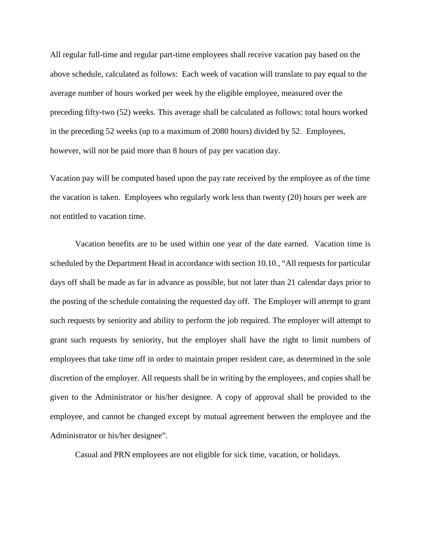All regular full-time and regular part-time employees shall receive vacation pay based on the above schedule, calculated as follows: Each week of vacation will translate to pay equal to the average number of hours worked per week by the eligible employee, measured over the preceding fifty-two (52) weeks. This average shall be calculated as follows: total hours worked in the preceding 52 weeks (up to a maximum of 2080 hours) divided by 52. Employees, however, will not be paid more than 8 hours of pay per vacation day.

Vacation pay will be computed based upon the pay rate received by the employee as of the time the vacation is taken. Employees who regularly work less than twenty (20) hours per week are not entitled to vacation time.

Vacation benefits are to be used within one year of the date earned. Vacation time is scheduled by the Department Head in accordance with section 10.10., "All requests for particular days off shall be made as far in advance as possible, but not later than 21 calendar days prior to the posting of the schedule containing the requested day off. The Employer will attempt to grant such requests by seniority and ability to perform the job required. The employer will attempt to grant such requests by seniority, but the employer shall have the right to limit numbers of employees that take time off in order to maintain proper resident care, as determined in the sole discretion of the employer. All requests shall be in writing by the employees, and copies shall be given to the Administrator or his/her designee. A copy of approval shall be provided to the employee, and cannot be changed except by mutual agreement between the employee and the Administrator or his/her designee".

Casual and PRN employees are not eligible for sick time, vacation, or holidays.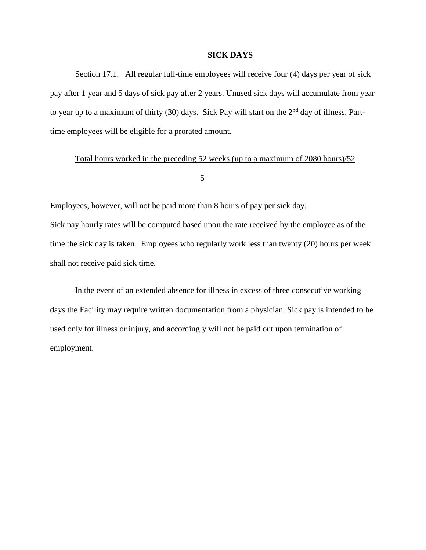## **SICK DAYS**

Section 17.1. All regular full-time employees will receive four (4) days per year of sick pay after 1 year and 5 days of sick pay after 2 years. Unused sick days will accumulate from year to year up to a maximum of thirty (30) days. Sick Pay will start on the  $2<sup>nd</sup>$  day of illness. Parttime employees will be eligible for a prorated amount.

## Total hours worked in the preceding 52 weeks (up to a maximum of 2080 hours)/52

# 5

Employees, however, will not be paid more than 8 hours of pay per sick day. Sick pay hourly rates will be computed based upon the rate received by the employee as of the time the sick day is taken. Employees who regularly work less than twenty (20) hours per week shall not receive paid sick time.

In the event of an extended absence for illness in excess of three consecutive working days the Facility may require written documentation from a physician. Sick pay is intended to be used only for illness or injury, and accordingly will not be paid out upon termination of employment.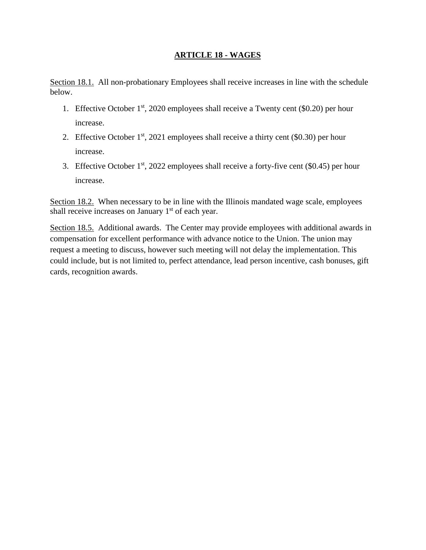# **ARTICLE 18 - WAGES**

Section 18.1. All non-probationary Employees shall receive increases in line with the schedule below.

- 1. Effective October  $1<sup>st</sup>$ , 2020 employees shall receive a Twenty cent (\$0.20) per hour increase.
- 2. Effective October  $1<sup>st</sup>$ , 2021 employees shall receive a thirty cent (\$0.30) per hour increase.
- 3. Effective October  $1<sup>st</sup>$ , 2022 employees shall receive a forty-five cent (\$0.45) per hour increase.

Section 18.2. When necessary to be in line with the Illinois mandated wage scale, employees shall receive increases on January  $1<sup>st</sup>$  of each year.

Section 18.5. Additional awards. The Center may provide employees with additional awards in compensation for excellent performance with advance notice to the Union. The union may request a meeting to discuss, however such meeting will not delay the implementation. This could include, but is not limited to, perfect attendance, lead person incentive, cash bonuses, gift cards, recognition awards.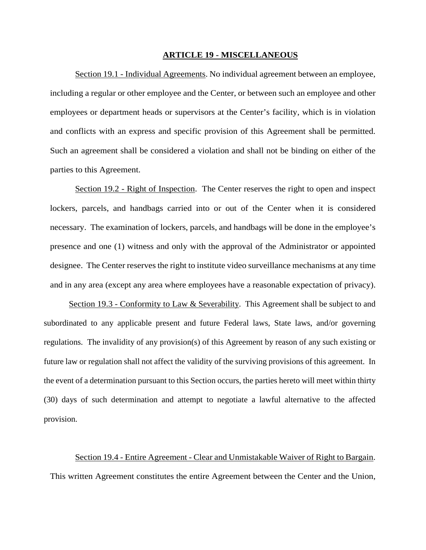## **ARTICLE 19 - MISCELLANEOUS**

Section 19.1 - Individual Agreements. No individual agreement between an employee, including a regular or other employee and the Center, or between such an employee and other employees or department heads or supervisors at the Center's facility, which is in violation and conflicts with an express and specific provision of this Agreement shall be permitted. Such an agreement shall be considered a violation and shall not be binding on either of the parties to this Agreement.

Section 19.2 - Right of Inspection. The Center reserves the right to open and inspect lockers, parcels, and handbags carried into or out of the Center when it is considered necessary. The examination of lockers, parcels, and handbags will be done in the employee's presence and one (1) witness and only with the approval of the Administrator or appointed designee. The Center reserves the right to institute video surveillance mechanisms at any time and in any area (except any area where employees have a reasonable expectation of privacy).

Section 19.3 - Conformity to Law & Severability. This Agreement shall be subject to and subordinated to any applicable present and future Federal laws, State laws, and/or governing regulations. The invalidity of any provision(s) of this Agreement by reason of any such existing or future law or regulation shall not affect the validity of the surviving provisions of this agreement. In the event of a determination pursuant to this Section occurs, the parties hereto will meet within thirty (30) days of such determination and attempt to negotiate a lawful alternative to the affected provision.

Section 19.4 - Entire Agreement - Clear and Unmistakable Waiver of Right to Bargain. This written Agreement constitutes the entire Agreement between the Center and the Union,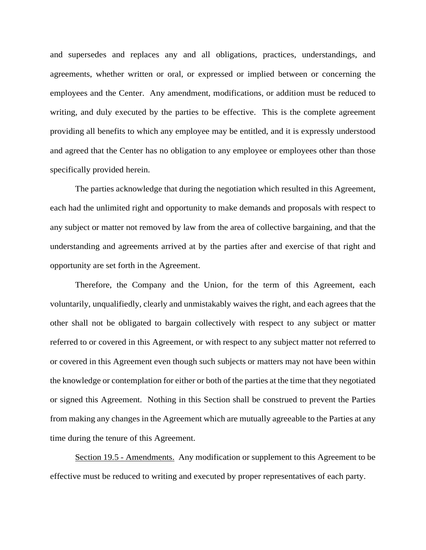and supersedes and replaces any and all obligations, practices, understandings, and agreements, whether written or oral, or expressed or implied between or concerning the employees and the Center. Any amendment, modifications, or addition must be reduced to writing, and duly executed by the parties to be effective. This is the complete agreement providing all benefits to which any employee may be entitled, and it is expressly understood and agreed that the Center has no obligation to any employee or employees other than those specifically provided herein.

The parties acknowledge that during the negotiation which resulted in this Agreement, each had the unlimited right and opportunity to make demands and proposals with respect to any subject or matter not removed by law from the area of collective bargaining, and that the understanding and agreements arrived at by the parties after and exercise of that right and opportunity are set forth in the Agreement.

Therefore, the Company and the Union, for the term of this Agreement, each voluntarily, unqualifiedly, clearly and unmistakably waives the right, and each agrees that the other shall not be obligated to bargain collectively with respect to any subject or matter referred to or covered in this Agreement, or with respect to any subject matter not referred to or covered in this Agreement even though such subjects or matters may not have been within the knowledge or contemplation for either or both of the parties at the time that they negotiated or signed this Agreement. Nothing in this Section shall be construed to prevent the Parties from making any changes in the Agreement which are mutually agreeable to the Parties at any time during the tenure of this Agreement.

Section 19.5 - Amendments. Any modification or supplement to this Agreement to be effective must be reduced to writing and executed by proper representatives of each party.